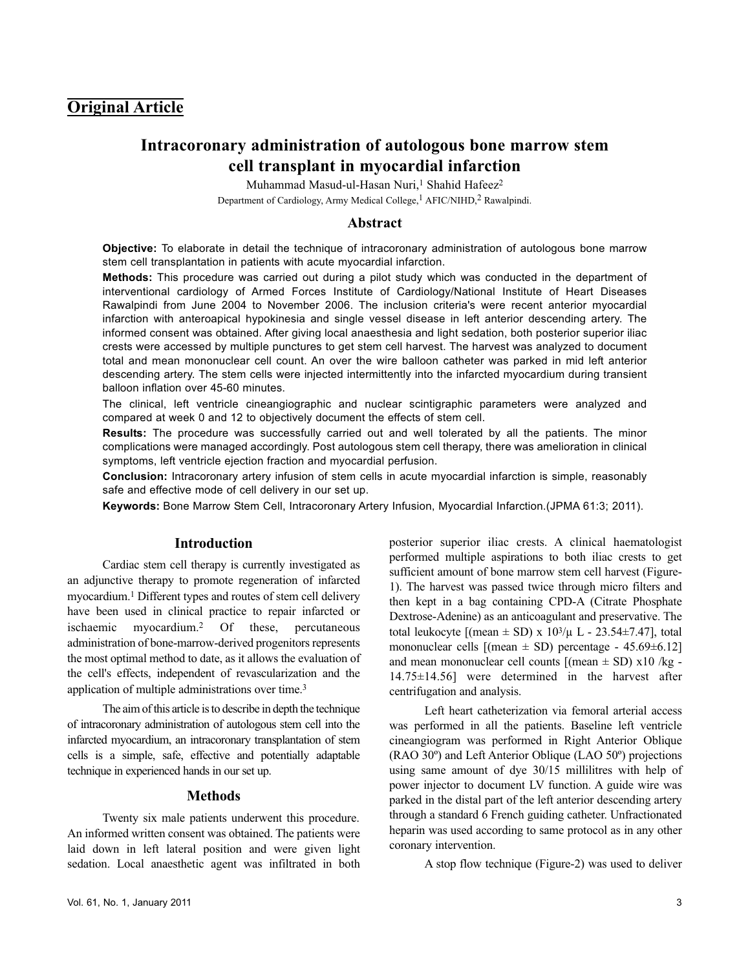# **Original Article**

# **Intracoronary administration of autologous bone marrow stem cell transplant in myocardial infarction**

Muhammad Masud-ul-Hasan Nuri,<sup>1</sup> Shahid Hafeez<sup>2</sup> Department of Cardiology, Army Medical College,<sup>1</sup> AFIC/NIHD,<sup>2</sup> Rawalpindi.

## **Abstract**

**Objective:** To elaborate in detail the technique of intracoronary administration of autologous bone marrow stem cell transplantation in patients with acute myocardial infarction.

**Methods:** This procedure was carried out during a pilot study which was conducted in the department of interventional cardiology of Armed Forces Institute of Cardiology/National Institute of Heart Diseases Rawalpindi from June 2004 to November 2006. The inclusion criteria's were recent anterior myocardial infarction with anteroapical hypokinesia and single vessel disease in left anterior descending artery. The informed consent was obtained. After giving local anaesthesia and light sedation, both posterior superior iliac crests were accessed by multiple punctures to get stem cell harvest. The harvest was analyzed to document total and mean mononuclear cell count. An over the wire balloon catheter was parked in mid left anterior descending artery. The stem cells were injected intermittently into the infarcted myocardium during transient balloon inflation over 45-60 minutes.

The clinical, left ventricle cineangiographic and nuclear scintigraphic parameters were analyzed and compared at week 0 and 12 to objectively document the effects of stem cell.

**Results:** The procedure was successfully carried out and well tolerated by all the patients. The minor complications were managed accordingly. Post autologous stem cell therapy, there was amelioration in clinical symptoms, left ventricle ejection fraction and myocardial perfusion.

**Conclusion:** Intracoronary artery infusion of stem cells in acute myocardial infarction is simple, reasonably safe and effective mode of cell delivery in our set up.

**Keywords:** Bone Marrow Stem Cell, Intracoronary Artery Infusion, Myocardial Infarction.(JPMA 61:3; 2011).

#### **Introduction**

Cardiac stem cell therapy is currently investigated as an adjunctive therapy to promote regeneration of infarcted myocardium.<sup>1</sup> Different types and routes of stem cell delivery have been used in clinical practice to repair infarcted or ischaemic myocardium.<sup>2</sup> Of these, percutaneous administration of bone-marrow-derived progenitors represents the most optimal method to date, as it allows the evaluation of the cell's effects, independent of revascularization and the application of multiple administrations over time.<sup>3</sup>

The aim of this article is to describe in depth the technique of intracoronary administration of autologous stem cell into the infarcted myocardium, an intracoronary transplantation of stem cells is a simple, safe, effective and potentially adaptable technique in experienced hands in our set up.

### **Methods**

Twenty six male patients underwent this procedure. An informed written consent was obtained. The patients were laid down in left lateral position and were given light sedation. Local anaesthetic agent was infiltrated in both posterior superior iliac crests. A clinical haematologist performed multiple aspirations to both iliac crests to get sufficient amount of bone marrow stem cell harvest (Figure-1). The harvest was passed twice through micro filters and then kept in a bag containing CPD-A (Citrate Phosphate Dextrose-Adenine) as an anticoagulant and preservative. The total leukocyte  $[(mean \pm SD) \times 10^{3}/\mu L - 23.54 \pm 7.47]$ , total mononuclear cells  $[(mean \pm SD)$  percentage - 45.69 $\pm$ 6.12] and mean mononuclear cell counts  $[(mean \pm SD) \times 10 /kg -$ 14.75±14.56] were determined in the harvest after centrifugation and analysis.

Left heart catheterization via femoral arterial access was performed in all the patients. Baseline left ventricle cineangiogram was performed in Right Anterior Oblique (RAO 30º) and Left Anterior Oblique (LAO 50º) projections using same amount of dye 30/15 millilitres with help of power injector to document LV function. A guide wire was parked in the distal part of the left anterior descending artery through a standard 6 French guiding catheter. Unfractionated heparin was used according to same protocol as in any other coronary intervention.

A stop flow technique (Figure-2) was used to deliver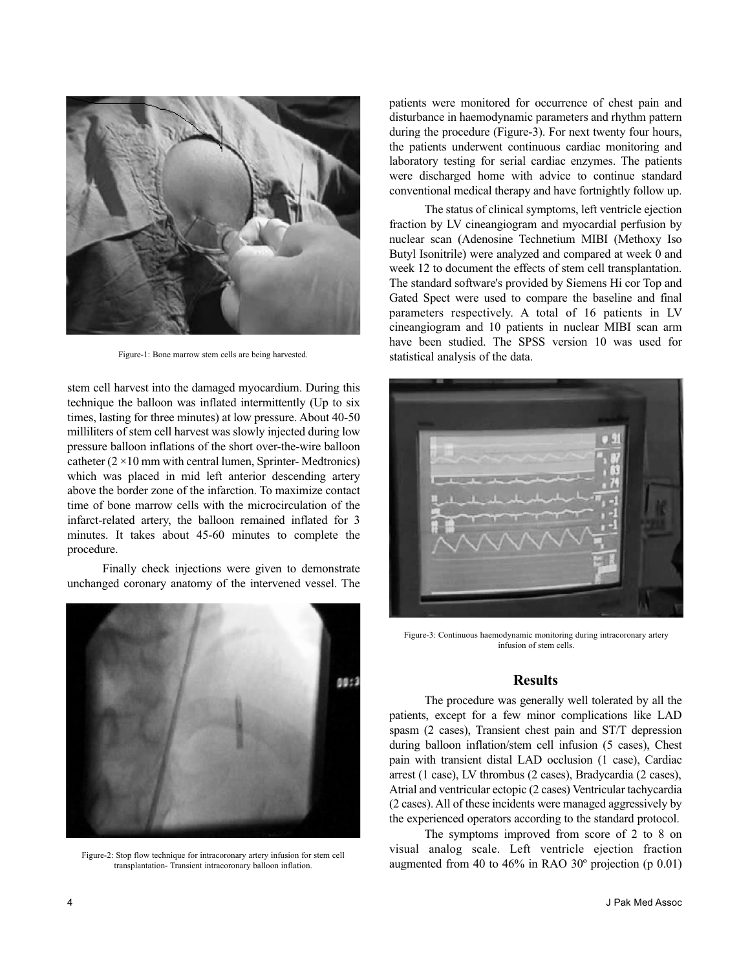

Figure-1: Bone marrow stem cells are being harvested.

stem cell harvest into the damaged myocardium. During this technique the balloon was inflated intermittently (Up to six times, lasting for three minutes) at low pressure. About 40-50 milliliters of stem cell harvest was slowly injected during low pressure balloon inflations of the short over-the-wire balloon catheter  $(2 \times 10 \text{ mm with central lumen, Springer-Medtronics})$ which was placed in mid left anterior descending artery above the border zone of the infarction. To maximize contact time of bone marrow cells with the microcirculation of the infarct-related artery, the balloon remained inflated for 3 minutes. It takes about 45-60 minutes to complete the procedure.

Finally check injections were given to demonstrate unchanged coronary anatomy of the intervened vessel. The



Figure-2: Stop flow technique for intracoronary artery infusion for stem cell transplantation- Transient intracoronary balloon inflation.

patients were monitored for occurrence of chest pain and disturbance in haemodynamic parameters and rhythm pattern during the procedure (Figure-3). For next twenty four hours, the patients underwent continuous cardiac monitoring and laboratory testing for serial cardiac enzymes. The patients were discharged home with advice to continue standard conventional medical therapy and have fortnightly follow up.

The status of clinical symptoms, left ventricle ejection fraction by LV cineangiogram and myocardial perfusion by nuclear scan (Adenosine Technetium MIBI (Methoxy Iso Butyl Isonitrile) were analyzed and compared at week 0 and week 12 to document the effects of stem cell transplantation. The standard software's provided by Siemens Hi cor Top and Gated Spect were used to compare the baseline and final parameters respectively. A total of 16 patients in LV cineangiogram and 10 patients in nuclear MIBI scan arm have been studied. The SPSS version 10 was used for statistical analysis of the data.



Figure-3: Continuous haemodynamic monitoring during intracoronary artery infusion of stem cells.

# **Results**

The procedure was generally well tolerated by all the patients, except for a few minor complications like LAD spasm (2 cases), Transient chest pain and ST/T depression during balloon inflation/stem cell infusion (5 cases), Chest pain with transient distal LAD occlusion (1 case), Cardiac arrest (1 case), LV thrombus (2 cases), Bradycardia (2 cases), Atrial and ventricular ectopic (2 cases) Ventricular tachycardia (2 cases). All of these incidents were managed aggressively by the experienced operators according to the standard protocol.

The symptoms improved from score of 2 to 8 on visual analog scale. Left ventricle ejection fraction augmented from 40 to 46% in RAO 30º projection (p 0.01)